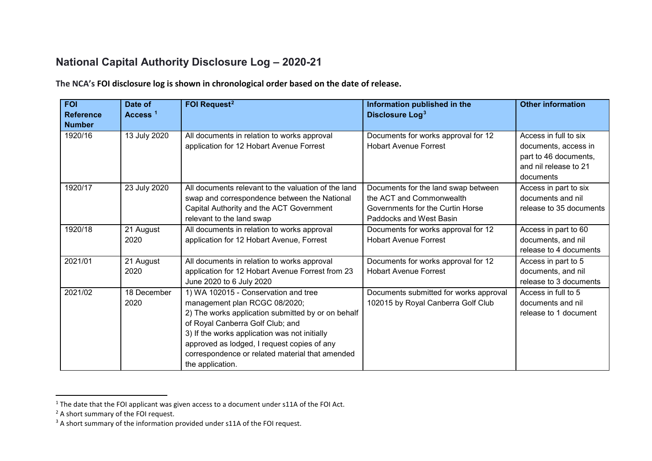## <span id="page-0-2"></span><span id="page-0-1"></span><span id="page-0-0"></span>**National Capital Authority Disclosure Log – 2020-21**

**The NCA's FOI disclosure log is shown in chronological order based on the date of release.**

| <b>FOI</b><br><b>Reference</b><br><b>Number</b> | Date of<br>Access <sup>1</sup> | FOI Request <sup>2</sup>                                                                                                                                                                                                                                                                                                               | Information published in the<br>Disclosure Log <sup>3</sup>                                                                    | <b>Other information</b>                                                                                     |
|-------------------------------------------------|--------------------------------|----------------------------------------------------------------------------------------------------------------------------------------------------------------------------------------------------------------------------------------------------------------------------------------------------------------------------------------|--------------------------------------------------------------------------------------------------------------------------------|--------------------------------------------------------------------------------------------------------------|
| 1920/16                                         | 13 July 2020                   | All documents in relation to works approval<br>application for 12 Hobart Avenue Forrest                                                                                                                                                                                                                                                | Documents for works approval for 12<br><b>Hobart Avenue Forrest</b>                                                            | Access in full to six<br>documents, access in<br>part to 46 documents,<br>and nil release to 21<br>documents |
| 1920/17                                         | 23 July 2020                   | All documents relevant to the valuation of the land<br>swap and correspondence between the National<br>Capital Authority and the ACT Government<br>relevant to the land swap                                                                                                                                                           | Documents for the land swap between<br>the ACT and Commonwealth<br>Governments for the Curtin Horse<br>Paddocks and West Basin | Access in part to six<br>documents and nil<br>release to 35 documents                                        |
| 1920/18                                         | 21 August<br>2020              | All documents in relation to works approval<br>application for 12 Hobart Avenue, Forrest                                                                                                                                                                                                                                               | Documents for works approval for 12<br><b>Hobart Avenue Forrest</b>                                                            | Access in part to 60<br>documents, and nil<br>release to 4 documents                                         |
| 2021/01                                         | 21 August<br>2020              | All documents in relation to works approval<br>application for 12 Hobart Avenue Forrest from 23<br>June 2020 to 6 July 2020                                                                                                                                                                                                            | Documents for works approval for 12<br><b>Hobart Avenue Forrest</b>                                                            | Access in part to 5<br>documents, and nil<br>release to 3 documents                                          |
| 2021/02                                         | 18 December<br>2020            | 1) WA 102015 - Conservation and tree<br>management plan RCGC 08/2020;<br>2) The works application submitted by or on behalf<br>of Royal Canberra Golf Club; and<br>3) If the works application was not initially<br>approved as lodged, I request copies of any<br>correspondence or related material that amended<br>the application. | Documents submitted for works approval<br>102015 by Royal Canberra Golf Club                                                   | Access in full to 5<br>documents and nil<br>release to 1 document                                            |

<sup>&</sup>lt;sup>1</sup> The date that the FOI applicant was given access to a document under s11A of the FOI Act.

<sup>&</sup>lt;sup>2</sup> A short summary of the FOI request.

<sup>&</sup>lt;sup>3</sup> A short summary of the information provided under s11A of the FOI request.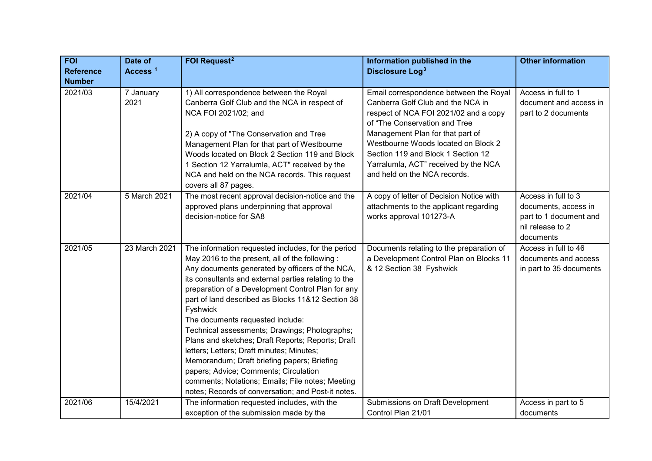| <b>FOI</b>       | Date of             | <b>FOI Request<sup>2</sup></b>                                                                                                                                                                                                                                                                                                                                                                                                                                                                                                                                                                                                                                                                                                 | Information published in the                                                                                                                                                                                                                                                                                   | <b>Other information</b>                                                                               |
|------------------|---------------------|--------------------------------------------------------------------------------------------------------------------------------------------------------------------------------------------------------------------------------------------------------------------------------------------------------------------------------------------------------------------------------------------------------------------------------------------------------------------------------------------------------------------------------------------------------------------------------------------------------------------------------------------------------------------------------------------------------------------------------|----------------------------------------------------------------------------------------------------------------------------------------------------------------------------------------------------------------------------------------------------------------------------------------------------------------|--------------------------------------------------------------------------------------------------------|
| <b>Reference</b> | Access <sup>1</sup> |                                                                                                                                                                                                                                                                                                                                                                                                                                                                                                                                                                                                                                                                                                                                | Disclosure Log <sup>3</sup>                                                                                                                                                                                                                                                                                    |                                                                                                        |
| <b>Number</b>    |                     |                                                                                                                                                                                                                                                                                                                                                                                                                                                                                                                                                                                                                                                                                                                                |                                                                                                                                                                                                                                                                                                                |                                                                                                        |
| 2021/03          | 7 January<br>2021   | 1) All correspondence between the Royal<br>Canberra Golf Club and the NCA in respect of<br>NCA FOI 2021/02; and<br>2) A copy of "The Conservation and Tree<br>Management Plan for that part of Westbourne<br>Woods located on Block 2 Section 119 and Block<br>1 Section 12 Yarralumla, ACT" received by the                                                                                                                                                                                                                                                                                                                                                                                                                   | Email correspondence between the Royal<br>Canberra Golf Club and the NCA in<br>respect of NCA FOI 2021/02 and a copy<br>of "The Conservation and Tree<br>Management Plan for that part of<br>Westbourne Woods located on Block 2<br>Section 119 and Block 1 Section 12<br>Yarralumla, ACT" received by the NCA | Access in full to 1<br>document and access in<br>part to 2 documents                                   |
|                  |                     | NCA and held on the NCA records. This request<br>covers all 87 pages.                                                                                                                                                                                                                                                                                                                                                                                                                                                                                                                                                                                                                                                          | and held on the NCA records.                                                                                                                                                                                                                                                                                   |                                                                                                        |
| 2021/04          | 5 March 2021        | The most recent approval decision-notice and the<br>approved plans underpinning that approval<br>decision-notice for SA8                                                                                                                                                                                                                                                                                                                                                                                                                                                                                                                                                                                                       | A copy of letter of Decision Notice with<br>attachments to the applicant regarding<br>works approval 101273-A                                                                                                                                                                                                  | Access in full to 3<br>documents, access in<br>part to 1 document and<br>nil release to 2<br>documents |
| 2021/05          | 23 March 2021       | The information requested includes, for the period<br>May 2016 to the present, all of the following:<br>Any documents generated by officers of the NCA,<br>its consultants and external parties relating to the<br>preparation of a Development Control Plan for any<br>part of land described as Blocks 11&12 Section 38<br>Fyshwick<br>The documents requested include:<br>Technical assessments; Drawings; Photographs;<br>Plans and sketches; Draft Reports; Reports; Draft<br>letters; Letters; Draft minutes; Minutes;<br>Memorandum; Draft briefing papers; Briefing<br>papers; Advice; Comments; Circulation<br>comments; Notations; Emails; File notes; Meeting<br>notes; Records of conversation; and Post-it notes. | Documents relating to the preparation of<br>a Development Control Plan on Blocks 11<br>& 12 Section 38 Fyshwick                                                                                                                                                                                                | Access in full to 46<br>documents and access<br>in part to 35 documents                                |
| 2021/06          | 15/4/2021           | The information requested includes, with the<br>exception of the submission made by the                                                                                                                                                                                                                                                                                                                                                                                                                                                                                                                                                                                                                                        | Submissions on Draft Development<br>Control Plan 21/01                                                                                                                                                                                                                                                         | Access in part to 5<br>documents                                                                       |